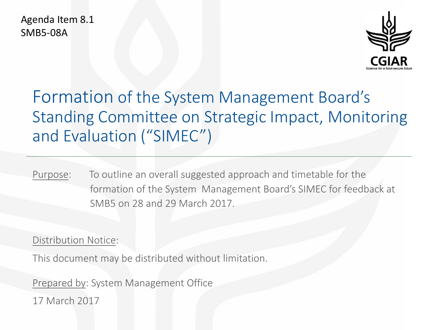Agenda Item 8.1 SMB5-08A



# Formation of the System Management Board's Standing Committee on Strategic Impact, Monitoring and Evaluation ("SIMEC")

Purpose: To outline an overall suggested approach and timetable for the formation of the System Management Board's SIMEC for feedback at SMB5 on 28 and 29 March 2017.

### Distribution Notice:

This document may be distributed without limitation.

Prepared by: System Management Office

17 March 2017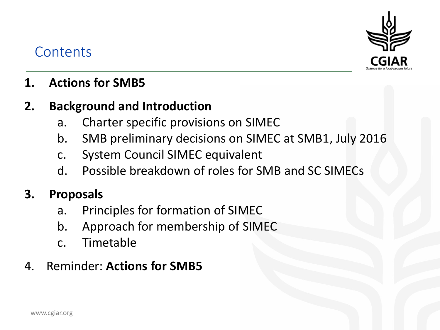

## **Contents**

## **1. Actions for SMB5**

### **2. Background and Introduction**

- a. Charter specific provisions on SIMEC
- b. SMB preliminary decisions on SIMEC at SMB1, July 2016
- c. System Council SIMEC equivalent
- d. Possible breakdown of roles for SMB and SC SIMECs

## **3. Proposals**

- a. Principles for formation of SIMEC
- b. Approach for membership of SIMEC
- c. Timetable

## 4. Reminder: **Actions for SMB5**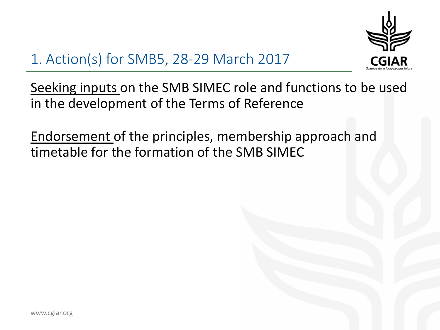

# 1. Action(s) for SMB5, 28-29 March 2017

Seeking inputs on the SMB SIMEC role and functions to be used in the development of the Terms of Reference

Endorsement of the principles, membership approach and timetable for the formation of the SMB SIMEC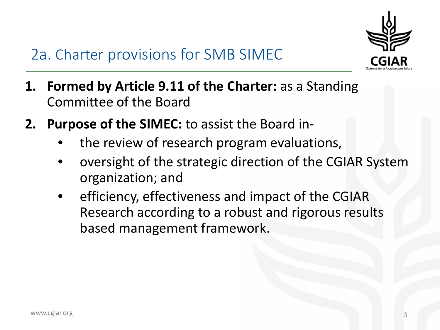

## 2a. Charter provisions for SMB SIMEC

- **1. Formed by Article 9.11 of the Charter:** as a Standing Committee of the Board
- **2. Purpose of the SIMEC:** to assist the Board in
	- the review of research program evaluations,
	- oversight of the strategic direction of the CGIAR System organization; and
	- efficiency, effectiveness and impact of the CGIAR Research according to a robust and rigorous results based management framework.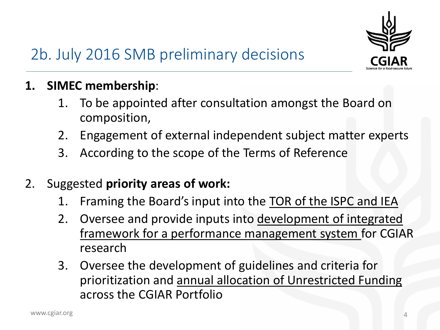

- **1. SIMEC membership**:
	- 1. To be appointed after consultation amongst the Board on composition,
	- 2. Engagement of external independent subject matter experts
	- 3. According to the scope of the Terms of Reference
- 2. Suggested **priority areas of work:** 
	- 1. Framing the Board's input into the TOR of the ISPC and IEA
	- 2. Oversee and provide inputs into development of integrated framework for a performance management system for CGIAR research
	- 3. Oversee the development of guidelines and criteria for prioritization and annual allocation of Unrestricted Funding across the CGIAR Portfolio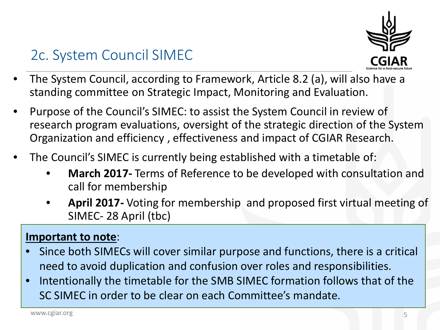

## 2c. System Council SIMEC

- The System Council, according to Framework, Article 8.2 (a), will also have a standing committee on Strategic Impact, Monitoring and Evaluation.
- Purpose of the Council's SIMEC: to assist the System Council in review of research program evaluations, oversight of the strategic direction of the System Organization and efficiency , effectiveness and impact of CGIAR Research.
- The Council's SIMEC is currently being established with a timetable of:
	- **March 2017-** Terms of Reference to be developed with consultation and call for membership
	- **April 2017-** Voting for membership and proposed first virtual meeting of SIMEC- 28 April (tbc)

### **Important to note**:

- Since both SIMECs will cover similar purpose and functions, there is a critical need to avoid duplication and confusion over roles and responsibilities.
- Intentionally the timetable for the SMB SIMEC formation follows that of the SC SIMEC in order to be clear on each Committee's mandate.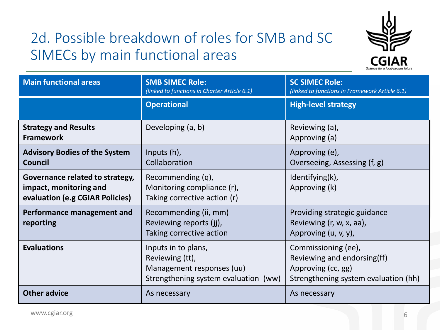# 2d. Possible breakdown of roles for SMB and SC SIMECs by main functional areas



| <b>Main functional areas</b>                                                                 | <b>SMB SIMEC Role:</b><br>(linked to functions in Charter Article 6.1)                                      | <b>SC SIMEC Role:</b><br>(linked to functions in Framework Article 6.1)                                          |
|----------------------------------------------------------------------------------------------|-------------------------------------------------------------------------------------------------------------|------------------------------------------------------------------------------------------------------------------|
|                                                                                              | <b>Operational</b>                                                                                          | <b>High-level strategy</b>                                                                                       |
| <b>Strategy and Results</b><br><b>Framework</b>                                              | Developing (a, b)                                                                                           | Reviewing (a),<br>Approving (a)                                                                                  |
| <b>Advisory Bodies of the System</b><br>Council                                              | Inputs (h),<br>Collaboration                                                                                | Approving (e),<br>Overseeing, Assessing (f, g)                                                                   |
| Governance related to strategy,<br>impact, monitoring and<br>evaluation (e.g CGIAR Policies) | Recommending (q),<br>Monitoring compliance (r),<br>Taking corrective action (r)                             | Identifying(k),<br>Approving (k)                                                                                 |
| Performance management and<br>reporting                                                      | Recommending (ii, mm)<br>Reviewing reports (jj),<br>Taking corrective action                                | Providing strategic guidance<br>Reviewing (r, w, x, aa),<br>Approving (u, v, y),                                 |
| <b>Evaluations</b>                                                                           | Inputs in to plans,<br>Reviewing (tt),<br>Management responses (uu)<br>Strengthening system evaluation (ww) | Commissioning (ee),<br>Reviewing and endorsing(ff)<br>Approving (cc, gg)<br>Strengthening system evaluation (hh) |
| <b>Other advice</b>                                                                          | As necessary                                                                                                | As necessary                                                                                                     |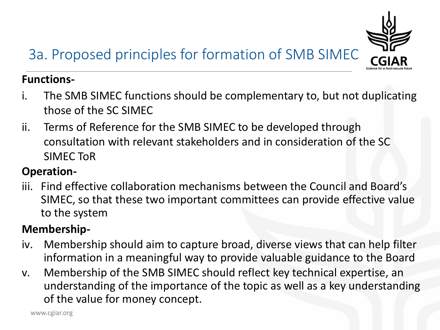# 3a. Proposed principles for formation of SMB SIMEC



- i. The SMB SIMEC functions should be complementary to, but not duplicating those of the SC SIMEC
- ii. Terms of Reference for the SMB SIMEC to be developed through consultation with relevant stakeholders and in consideration of the SC SIMEC ToR

### **Operation-**

iii. Find effective collaboration mechanisms between the Council and Board's SIMEC, so that these two important committees can provide effective value to the system

### **Membership-**

- iv. Membership should aim to capture broad, diverse views that can help filter information in a meaningful way to provide valuable guidance to the Board
- v. Membership of the SMB SIMEC should reflect key technical expertise, an understanding of the importance of the topic as well as a key understanding of the value for money concept.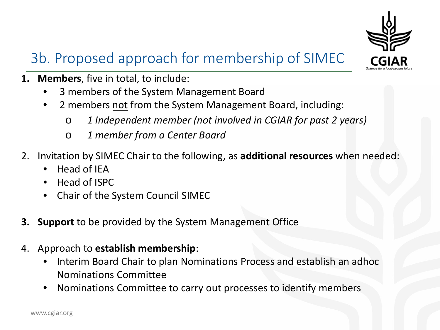

# 3b. Proposed approach for membership of SIMEC

- **1. Members**, five in total, to include:
	- 3 members of the System Management Board
	- 2 members not from the System Management Board, including:
		- o *1 Independent member (not involved in CGIAR for past 2 years)*
		- o *1 member from a Center Board*
- 2. Invitation by SIMEC Chair to the following, as **additional resources** when needed:
	- Head of IEA
	- Head of ISPC
	- Chair of the System Council SIMEC
- **3. Support** to be provided by the System Management Office
- 4. Approach to **establish membership**:
	- Interim Board Chair to plan Nominations Process and establish an adhoc Nominations Committee
	- Nominations Committee to carry out processes to identify members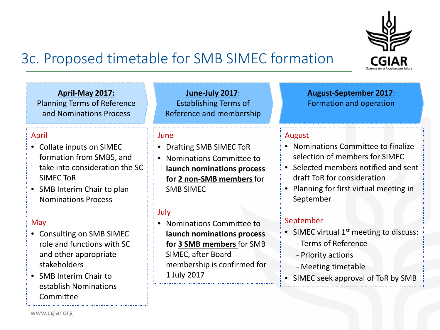

## 3c. Proposed timetable for SMB SIMEC formation

**April-May 2017:**  Planning Terms of Reference and Nominations Process

#### April

- Collate inputs on SIMEC formation from SMB5, and take into consideration the SC SIMEC ToR
- SMB Interim Chair to plan Nominations Process

#### May

- Consulting on SMB SIMEC role and functions with SC and other appropriate stakeholders
- SMB Interim Chair to establish Nominations **Committee**

**June-July 2017**: Establishing Terms of Reference and membership

#### June

- Drafting SMB SIMEC ToR
- Nominations Committee to **launch nominations process for 2 non-SMB members** for SMB SIMEC

### July

• Nominations Committee to **launch nominations process for 3 SMB members** for SMB SIMEC, after Board membership is confirmed for 1 July 2017

**August-September 2017**: Formation and operation

### August

- Nominations Committee to finalize selection of members for SIMEC
- Selected members notified and sent draft ToR for consideration
- Planning for first virtual meeting in September

### September

- SIMEC virtual  $1<sup>st</sup>$  meeting to discuss:
	- Terms of Reference
	- Priority actions
	- Meeting timetable
- SIMEC seek approval of ToR by SMB

www.cgiar.org